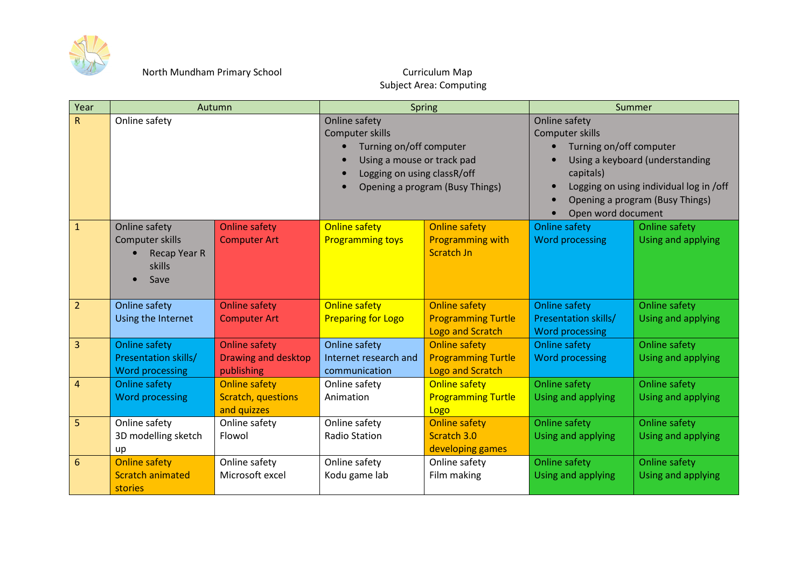

## **Subject Area: Computing**

| Year           | Autumn                                                                    |                                                                  | Spring                                                                                                                                                      |                                                                              | Summer                                                                                                                                                                                                                 |                                            |
|----------------|---------------------------------------------------------------------------|------------------------------------------------------------------|-------------------------------------------------------------------------------------------------------------------------------------------------------------|------------------------------------------------------------------------------|------------------------------------------------------------------------------------------------------------------------------------------------------------------------------------------------------------------------|--------------------------------------------|
| R.             | Online safety                                                             |                                                                  | Online safety<br>Computer skills<br>Turning on/off computer<br>Using a mouse or track pad<br>Logging on using classR/off<br>Opening a program (Busy Things) |                                                                              | <b>Online safety</b><br>Computer skills<br>Turning on/off computer<br>Using a keyboard (understanding<br>capitals)<br>Logging on using individual log in /off<br>Opening a program (Busy Things)<br>Open word document |                                            |
| $\mathbf{1}$   | Online safety<br>Computer skills<br><b>Recap Year R</b><br>skills<br>Save | <b>Online safety</b><br><b>Computer Art</b>                      | <b>Online safety</b><br><b>Programming toys</b>                                                                                                             | <b>Online safety</b><br><b>Programming with</b><br><b>Scratch Jn</b>         | <b>Online safety</b><br>Word processing                                                                                                                                                                                | <b>Online safety</b><br>Using and applying |
| $\overline{2}$ | Online safety<br>Using the Internet                                       | <b>Online safety</b><br><b>Computer Art</b>                      | <b>Online safety</b><br><b>Preparing for Logo</b>                                                                                                           | <b>Online safety</b><br><b>Programming Turtle</b><br><b>Logo and Scratch</b> | <b>Online safety</b><br><b>Presentation skills/</b><br><b>Word processing</b>                                                                                                                                          | <b>Online safety</b><br>Using and applying |
| $\overline{3}$ | Online safety<br>Presentation skills/<br><b>Word processing</b>           | <b>Online safety</b><br>Drawing and desktop<br>publishing        | Online safety<br>Internet research and<br>communication                                                                                                     | <b>Online safety</b><br><b>Programming Turtle</b><br><b>Logo and Scratch</b> | <b>Online safety</b><br><b>Word processing</b>                                                                                                                                                                         | <b>Online safety</b><br>Using and applying |
| $\overline{4}$ | <b>Online safety</b><br><b>Word processing</b>                            | <b>Online safety</b><br><b>Scratch, questions</b><br>and quizzes | Online safety<br>Animation                                                                                                                                  | <b>Online safety</b><br><b>Programming Turtle</b><br>Logo                    | <b>Online safety</b><br>Using and applying                                                                                                                                                                             | <b>Online safety</b><br>Using and applying |
| 5              | Online safety<br>3D modelling sketch<br>up                                | Online safety<br>Flowol                                          | Online safety<br><b>Radio Station</b>                                                                                                                       | <b>Online safety</b><br>Scratch 3.0<br>developing games                      | Online safety<br>Using and applying                                                                                                                                                                                    | Online safety<br>Using and applying        |
| 6              | <b>Online safety</b><br><b>Scratch animated</b><br>stories                | Online safety<br>Microsoft excel                                 | Online safety<br>Kodu game lab                                                                                                                              | Online safety<br>Film making                                                 | Online safety<br>Using and applying                                                                                                                                                                                    | Online safety<br>Using and applying        |